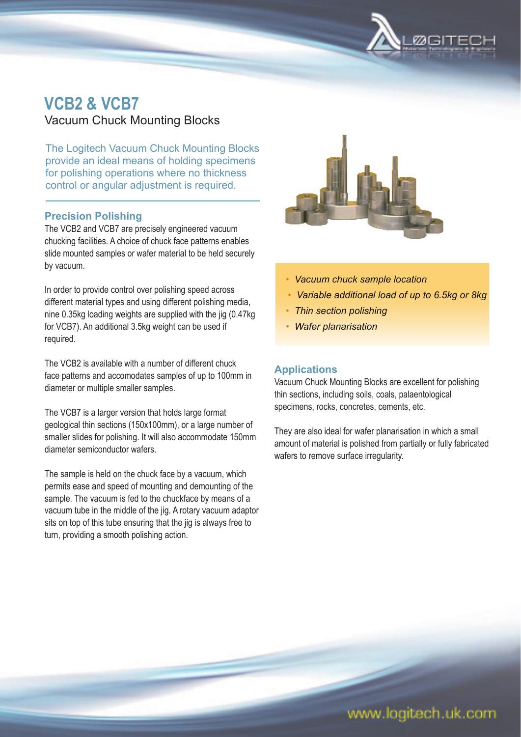

# **VCB2 & VCB7**

Vacuum Chuck Mounting Blocks

The Logitech Vacuum Chuck Mounting Blocks provide an ideal means of holding specimens for polishing operations where no thickness control or angular adjustment is required.

# **Precision Polishing**

The VCB2 and VCB7 are precisely engineered vacuum chucking facilities. A choice of chuck face patterns enables slide mounted samples or wafer material to be held securely by vacuum.

In order to provide control over polishing speed across different material types and using different polishing media, nine 0.35kg loading weights are supplied with the jig (0.47kg for VCB7). An additional 3.5kg weight can be used if required.

The VCB2 is available with a number of different chuck face patterns and accomodates samples of up to 100mm in diameter or multiple smaller samples.

The VCB7 is a larger version that holds large format geological thin sections (150x100mm), or a large number of smaller slides for polishing. It will also accommodate 150mm diameter semiconductor wafers.

The sample is held on the chuck face by a vacuum, which permits ease and speed of mounting and demounting of the sample. The vacuum is fed to the chuckface by means of a vacuum tube in the middle of the jig. A rotary vacuum adaptor sits on top of this tube ensuring that the jig is always free to turn, providing a smooth polishing action.



- *Vacuum chuck sample location*
- *Variable additional load of up to 6.5kg or 8kg*
- *Thin section polishing*
- *Wafer planarisation*

# **Applications**

Vacuum Chuck Mounting Blocks are excellent for polishing thin sections, including soils, coals, palaentological specimens, rocks, concretes, cements, etc.

They are also ideal for wafer planarisation in which a small amount of material is polished from partially or fully fabricated wafers to remove surface irregularity.